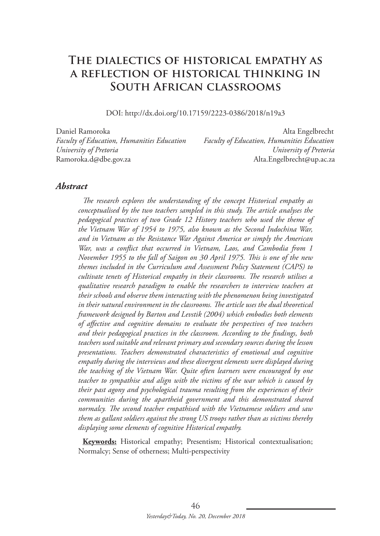# **The dialectics of historical empathy as a reflection of historical thinking in South African classrooms**

DOI: http://dx.doi.org/10.17159/2223-0386/2018/n19a3

Daniel Ramoroka Alta Engelbrecht *Faculty of Education, Humanities Education Faculty of Education, Humanities Education University of Pretoria University of Pretoria* Ramoroka.d@dbe.gov.za Alta.Engelbrecht@up.ac.za

#### *Abstract*

*The research explores the understanding of the concept Historical empathy as conceptualised by the two teachers sampled in this study. The article analyses the pedagogical practices of two Grade 12 History teachers who used the theme of the Vietnam War of 1954 to 1975, also known as the Second Indochina War, and in Vietnam as the Resistance War Against America or simply the American War, was a conflict that occurred in Vietnam, Laos, and Cambodia from 1 November 1955 to the fall of Saigon on 30 April 1975. This is one of the new themes included in the Curriculum and Assessment Policy Statement (CAPS) to cultivate tenets of Historical empathy in their classrooms. The research utilises a qualitative research paradigm to enable the researchers to interview teachers at their schools and observe them interacting with the phenomenon being investigated in their natural environment in the classrooms. The article uses the dual theoretical framework designed by Barton and Levstik (2004) which embodies both elements of affective and cognitive domains to evaluate the perspectives of two teachers and their pedagogical practices in the classroom. According to the findings, both teachers used suitable and relevant primary and secondary sources during the lesson presentations. Teachers demonstrated characteristics of emotional and cognitive empathy during the interviews and these divergent elements were displayed during the teaching of the Vietnam War. Quite often learners were encouraged by one teacher to sympathise and align with the victims of the war which is caused by their past agony and psychological trauma resulting from the experiences of their communities during the apartheid government and this demonstrated shared normalcy. The second teacher empathised with the Vietnamese soldiers and saw them as gallant soldiers against the strong US troops rather than as victims thereby displaying some elements of cognitive Historical empathy.* 

**Keywords:** Historical empathy; Presentism; Historical contextualisation; Normalcy; Sense of otherness; Multi-perspectivity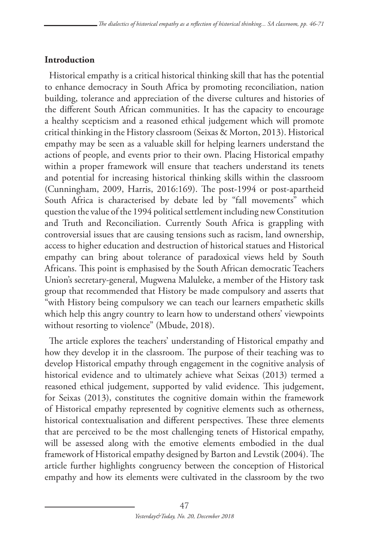### **Introduction**

Historical empathy is a critical historical thinking skill that has the potential to enhance democracy in South Africa by promoting reconciliation, nation building, tolerance and appreciation of the diverse cultures and histories of the different South African communities. It has the capacity to encourage a healthy scepticism and a reasoned ethical judgement which will promote critical thinking in the History classroom (Seixas & Morton, 2013). Historical empathy may be seen as a valuable skill for helping learners understand the actions of people, and events prior to their own. Placing Historical empathy within a proper framework will ensure that teachers understand its tenets and potential for increasing historical thinking skills within the classroom (Cunningham, 2009, Harris, 2016:169). The post-1994 or post-apartheid South Africa is characterised by debate led by "fall movements" which question the value of the 1994 political settlement including new Constitution and Truth and Reconciliation. Currently South Africa is grappling with controversial issues that are causing tensions such as racism, land ownership, access to higher education and destruction of historical statues and Historical empathy can bring about tolerance of paradoxical views held by South Africans. This point is emphasised by the South African democratic Teachers Union's secretary-general, Mugwena Maluleke, a member of the History task group that recommended that History be made compulsory and asserts that "with History being compulsory we can teach our learners empathetic skills which help this angry country to learn how to understand others' viewpoints without resorting to violence" (Mbude, 2018).

The article explores the teachers' understanding of Historical empathy and how they develop it in the classroom. The purpose of their teaching was to develop Historical empathy through engagement in the cognitive analysis of historical evidence and to ultimately achieve what Seixas (2013) termed a reasoned ethical judgement, supported by valid evidence. This judgement, for Seixas (2013), constitutes the cognitive domain within the framework of Historical empathy represented by cognitive elements such as otherness, historical contextualisation and different perspectives. These three elements that are perceived to be the most challenging tenets of Historical empathy, will be assessed along with the emotive elements embodied in the dual framework of Historical empathy designed by Barton and Levstik (2004). The article further highlights congruency between the conception of Historical empathy and how its elements were cultivated in the classroom by the two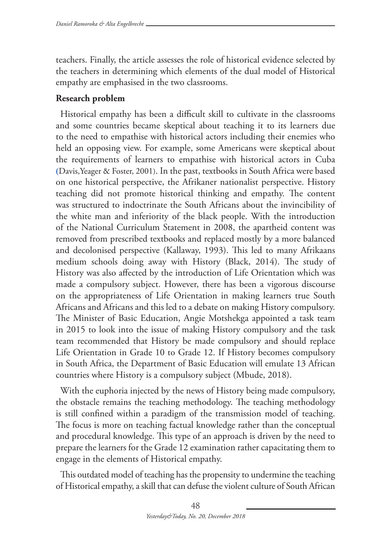teachers. Finally, the article assesses the role of historical evidence selected by the teachers in determining which elements of the dual model of Historical empathy are emphasised in the two classrooms.

### **Research problem**

Historical empathy has been a difficult skill to cultivate in the classrooms and some countries became skeptical about teaching it to its learners due to the need to empathise with historical actors including their enemies who held an opposing view. For example, some Americans were skeptical about the requirements of learners to empathise with historical actors in Cuba **(**Davis,Yeager & Foster, 2001). In the past, textbooks in South Africa were based on one historical perspective, the Afrikaner nationalist perspective. History teaching did not promote historical thinking and empathy. The content was structured to indoctrinate the South Africans about the invincibility of the white man and inferiority of the black people. With the introduction of the National Curriculum Statement in 2008, the apartheid content was removed from prescribed textbooks and replaced mostly by a more balanced and decolonised perspective (Kallaway, 1993). This led to many Afrikaans medium schools doing away with History (Black, 2014). The study of History was also affected by the introduction of Life Orientation which was made a compulsory subject. However, there has been a vigorous discourse on the appropriateness of Life Orientation in making learners true South Africans and Africans and this led to a debate on making History compulsory. The Minister of Basic Education, Angie Motshekga appointed a task team in 2015 to look into the issue of making History compulsory and the task team recommended that History be made compulsory and should replace Life Orientation in Grade 10 to Grade 12. If History becomes compulsory in South Africa, the Department of Basic Education will emulate 13 African countries where History is a compulsory subject (Mbude, 2018).

With the euphoria injected by the news of History being made compulsory, the obstacle remains the teaching methodology. The teaching methodology is still confined within a paradigm of the transmission model of teaching. The focus is more on teaching factual knowledge rather than the conceptual and procedural knowledge. This type of an approach is driven by the need to prepare the learners for the Grade 12 examination rather capacitating them to engage in the elements of Historical empathy.

This outdated model of teaching has the propensity to undermine the teaching of Historical empathy, a skill that can defuse the violent culture of South African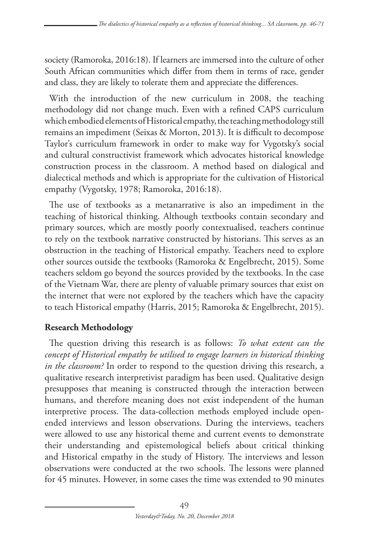society (Ramoroka, 2016:18). If learners are immersed into the culture of other South African communities which differ from them in terms of race, gender and class, they are likely to tolerate them and appreciate the differences.

With the introduction of the new curriculum in 2008, the teaching methodology did not change much. Even with a refined CAPS curriculum which embodied elements of Historical empathy, the teaching methodology still remains an impediment (Seixas & Morton, 2013). It is difficult to decompose Taylor's curriculum framework in order to make way for Vygotsky's social and cultural constructivist framework which advocates historical knowledge construction process in the classroom. A method based on dialogical and dialectical methods and which is appropriate for the cultivation of Historical empathy (Vygotsky, 1978; Ramoroka, 2016:18).

The use of textbooks as a metanarrative is also an impediment in the teaching of historical thinking. Although textbooks contain secondary and primary sources, which are mostly poorly contextualised, teachers continue to rely on the textbook narrative constructed by historians. This serves as an obstruction in the teaching of Historical empathy. Teachers need to explore other sources outside the textbooks (Ramoroka & Engelbrecht, 2015). Some teachers seldom go beyond the sources provided by the textbooks. In the case of the Vietnam War, there are plenty of valuable primary sources that exist on the internet that were not explored by the teachers which have the capacity to teach Historical empathy (Harris, 2015; Ramoroka & Engelbrecht, 2015).

## **Research Methodology**

The question driving this research is as follows: *To what extent can the concept of Historical empathy be utilised to engage learners in historical thinking in the classroom?* In order to respond to the question driving this research, a qualitative research interpretivist paradigm has been used. Qualitative design presupposes that meaning is constructed through the interaction between humans, and therefore meaning does not exist independent of the human interpretive process. The data-collection methods employed include openended interviews and lesson observations. During the interviews, teachers were allowed to use any historical theme and current events to demonstrate their understanding and epistemological beliefs about critical thinking and Historical empathy in the study of History. The interviews and lesson observations were conducted at the two schools. The lessons were planned for 45 minutes. However, in some cases the time was extended to 90 minutes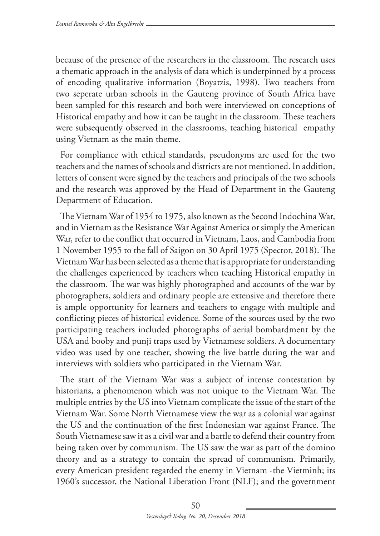because of the presence of the researchers in the classroom. The research uses a thematic approach in the analysis of data which is underpinned by a process of encoding qualitative information (Boyatzis, 1998). Two teachers from two seperate urban schools in the Gauteng province of South Africa have been sampled for this research and both were interviewed on conceptions of Historical empathy and how it can be taught in the classroom. These teachers were subsequently observed in the classrooms, teaching historical empathy using Vietnam as the main theme.

For compliance with ethical standards, pseudonyms are used for the two teachers and the names of schools and districts are not mentioned. In addition, letters of consent were signed by the teachers and principals of the two schools and the research was approved by the Head of Department in the Gauteng Department of Education.

The Vietnam War of 1954 to 1975, also known as the Second Indochina War, and in Vietnam as the Resistance War Against America or simply the American War, refer to the conflict that occurred in Vietnam, Laos, and Cambodia from 1 November 1955 to the fall of Saigon on 30 April 1975 (Spector, 2018). The Vietnam War has been selected as a theme that is appropriate for understanding the challenges experienced by teachers when teaching Historical empathy in the classroom. The war was highly photographed and accounts of the war by photographers, soldiers and ordinary people are extensive and therefore there is ample opportunity for learners and teachers to engage with multiple and conflicting pieces of historical evidence. Some of the sources used by the two participating teachers included photographs of aerial bombardment by the USA and booby and punji traps used by Vietnamese soldiers. A documentary video was used by one teacher, showing the live battle during the war and interviews with soldiers who participated in the Vietnam War.

The start of the Vietnam War was a subject of intense contestation by historians, a phenomenon which was not unique to the Vietnam War. The multiple entries by the US into Vietnam complicate the issue of the start of the Vietnam War. Some North Vietnamese view the war as a colonial war against the US and the continuation of the first Indonesian war against France. The South Vietnamese saw it as a civil war and a battle to defend their country from being taken over by communism. The US saw the war as part of the domino theory and as a strategy to contain the spread of communism. Primarily, every American president regarded the enemy in Vietnam -the Vietminh; its 1960's successor, the National Liberation Front (NLF); and the government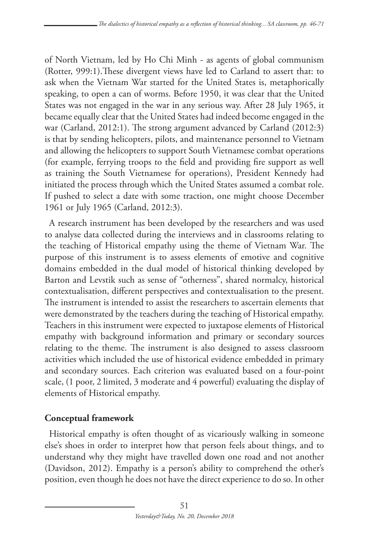of North Vietnam, led by Ho Chi Minh - as agents of global communism (Rotter, 999:1).These divergent views have led to Carland to assert that: to ask when the Vietnam War started for the United States is, metaphorically speaking, to open a can of worms. Before 1950, it was clear that the United States was not engaged in the war in any serious way. After 28 July 1965, it became equally clear that the United States had indeed become engaged in the war (Carland, 2012:1). The strong argument advanced by Carland (2012:3) is that by sending helicopters, pilots, and maintenance personnel to Vietnam and allowing the helicopters to support South Vietnamese combat operations (for example, ferrying troops to the field and providing fire support as well as training the South Vietnamese for operations), President Kennedy had initiated the process through which the United States assumed a combat role. If pushed to select a date with some traction, one might choose December 1961 or July 1965 (Carland, 2012:3).

A research instrument has been developed by the researchers and was used to analyse data collected during the interviews and in classrooms relating to the teaching of Historical empathy using the theme of Vietnam War. The purpose of this instrument is to assess elements of emotive and cognitive domains embedded in the dual model of historical thinking developed by Barton and Levstik such as sense of "otherness", shared normalcy, historical contextualisation, different perspectives and contextualisation to the present. The instrument is intended to assist the researchers to ascertain elements that were demonstrated by the teachers during the teaching of Historical empathy. Teachers in this instrument were expected to juxtapose elements of Historical empathy with background information and primary or secondary sources relating to the theme. The instrument is also designed to assess classroom activities which included the use of historical evidence embedded in primary and secondary sources. Each criterion was evaluated based on a four-point scale, (1 poor, 2 limited, 3 moderate and 4 powerful) evaluating the display of elements of Historical empathy.

### **Conceptual framework**

Historical empathy is often thought of as vicariously walking in someone else's shoes in order to interpret how that person feels about things, and to understand why they might have travelled down one road and not another (Davidson, 2012). Empathy is a person's ability to comprehend the other's position, even though he does not have the direct experience to do so. In other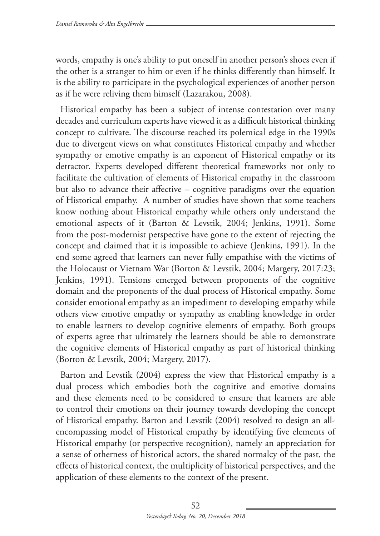words, empathy is one's ability to put oneself in another person's shoes even if the other is a stranger to him or even if he thinks differently than himself. It is the ability to participate in the psychological experiences of another person as if he were reliving them himself (Lazarakou, 2008).

Historical empathy has been a subject of intense contestation over many decades and curriculum experts have viewed it as a difficult historical thinking concept to cultivate. The discourse reached its polemical edge in the 1990s due to divergent views on what constitutes Historical empathy and whether sympathy or emotive empathy is an exponent of Historical empathy or its detractor. Experts developed different theoretical frameworks not only to facilitate the cultivation of elements of Historical empathy in the classroom but also to advance their affective – cognitive paradigms over the equation of Historical empathy. A number of studies have shown that some teachers know nothing about Historical empathy while others only understand the emotional aspects of it (Barton & Levstik, 2004; Jenkins, 1991). Some from the post-modernist perspective have gone to the extent of rejecting the concept and claimed that it is impossible to achieve (Jenkins, 1991). In the end some agreed that learners can never fully empathise with the victims of the Holocaust or Vietnam War (Borton & Levstik, 2004; Margery, 2017:23; Jenkins, 1991). Tensions emerged between proponents of the cognitive domain and the proponents of the dual process of Historical empathy. Some consider emotional empathy as an impediment to developing empathy while others view emotive empathy or sympathy as enabling knowledge in order to enable learners to develop cognitive elements of empathy. Both groups of experts agree that ultimately the learners should be able to demonstrate the cognitive elements of Historical empathy as part of historical thinking (Borton & Levstik, 2004; Margery, 2017).

Barton and Levstik (2004) express the view that Historical empathy is a dual process which embodies both the cognitive and emotive domains and these elements need to be considered to ensure that learners are able to control their emotions on their journey towards developing the concept of Historical empathy. Barton and Levstik (2004) resolved to design an allencompassing model of Historical empathy by identifying five elements of Historical empathy (or perspective recognition), namely an appreciation for a sense of otherness of historical actors, the shared normalcy of the past, the effects of historical context, the multiplicity of historical perspectives, and the application of these elements to the context of the present.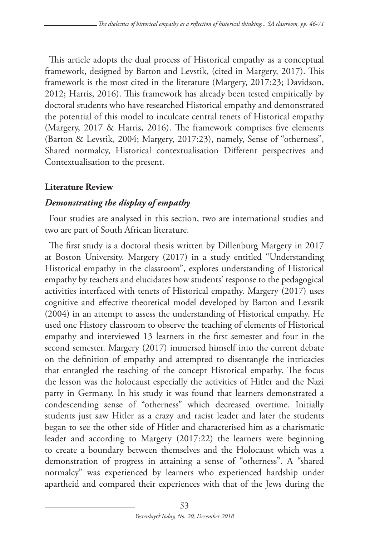This article adopts the dual process of Historical empathy as a conceptual framework, designed by Barton and Levstik, (cited in Margery, 2017). This framework is the most cited in the literature (Margery, 2017:23; Davidson, 2012; Harris, 2016). This framework has already been tested empirically by doctoral students who have researched Historical empathy and demonstrated the potential of this model to inculcate central tenets of Historical empathy (Margery, 2017 & Harris, 2016). The framework comprises five elements (Barton & Levstik, 2004; Margery, 2017:23), namely, Sense of "otherness", Shared normalcy, Historical contextualisation Different perspectives and Contextualisation to the present.

### **Literature Review**

### *Demonstrating the display of empathy*

Four studies are analysed in this section, two are international studies and two are part of South African literature.

The first study is a doctoral thesis written by Dillenburg Margery in 2017 at Boston University. Margery (2017) in a study entitled "Understanding Historical empathy in the classroom", explores understanding of Historical empathy by teachers and elucidates how students' response to the pedagogical activities interfaced with tenets of Historical empathy. Margery (2017) uses cognitive and effective theoretical model developed by Barton and Levstik (2004) in an attempt to assess the understanding of Historical empathy. He used one History classroom to observe the teaching of elements of Historical empathy and interviewed 13 learners in the first semester and four in the second semester. Margery (2017) immersed himself into the current debate on the definition of empathy and attempted to disentangle the intricacies that entangled the teaching of the concept Historical empathy. The focus the lesson was the holocaust especially the activities of Hitler and the Nazi party in Germany. In his study it was found that learners demonstrated a condescending sense of "otherness" which decreased overtime. Initially students just saw Hitler as a crazy and racist leader and later the students began to see the other side of Hitler and characterised him as a charismatic leader and according to Margery (2017:22) the learners were beginning to create a boundary between themselves and the Holocaust which was a demonstration of progress in attaining a sense of "otherness". A "shared normalcy" was experienced by learners who experienced hardship under apartheid and compared their experiences with that of the Jews during the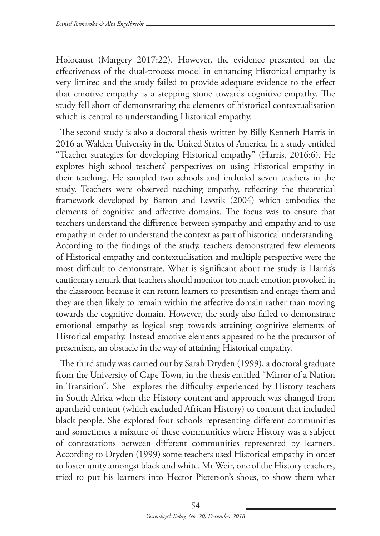Holocaust (Margery 2017:22). However, the evidence presented on the effectiveness of the dual-process model in enhancing Historical empathy is very limited and the study failed to provide adequate evidence to the effect that emotive empathy is a stepping stone towards cognitive empathy. The study fell short of demonstrating the elements of historical contextualisation which is central to understanding Historical empathy.

The second study is also a doctoral thesis written by Billy Kenneth Harris in 2016 at Walden University in the United States of America. In a study entitled "Teacher strategies for developing Historical empathy" (Harris, 2016:6). He explores high school teachers' perspectives on using Historical empathy in their teaching. He sampled two schools and included seven teachers in the study. Teachers were observed teaching empathy, reflecting the theoretical framework developed by Barton and Levstik (2004) which embodies the elements of cognitive and affective domains. The focus was to ensure that teachers understand the difference between sympathy and empathy and to use empathy in order to understand the context as part of historical understanding. According to the findings of the study, teachers demonstrated few elements of Historical empathy and contextualisation and multiple perspective were the most difficult to demonstrate. What is significant about the study is Harris's cautionary remark that teachers should monitor too much emotion provoked in the classroom because it can return learners to presentism and enrage them and they are then likely to remain within the affective domain rather than moving towards the cognitive domain. However, the study also failed to demonstrate emotional empathy as logical step towards attaining cognitive elements of Historical empathy. Instead emotive elements appeared to be the precursor of presentism, an obstacle in the way of attaining Historical empathy.

The third study was carried out by Sarah Dryden (1999), a doctoral graduate from the University of Cape Town, in the thesis entitled "Mirror of a Nation in Transition". She explores the difficulty experienced by History teachers in South Africa when the History content and approach was changed from apartheid content (which excluded African History) to content that included black people. She explored four schools representing different communities and sometimes a mixture of these communities where History was a subject of contestations between different communities represented by learners. According to Dryden (1999) some teachers used Historical empathy in order to foster unity amongst black and white. Mr Weir, one of the History teachers, tried to put his learners into Hector Pieterson's shoes, to show them what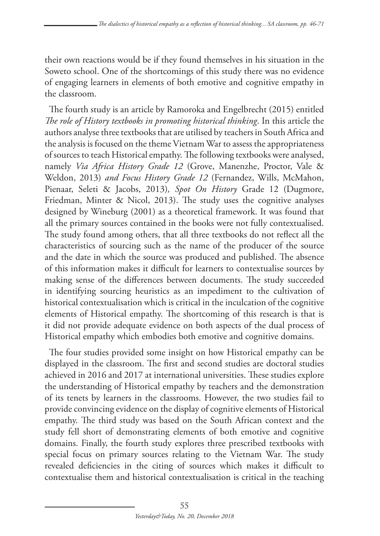their own reactions would be if they found themselves in his situation in the Soweto school. One of the shortcomings of this study there was no evidence of engaging learners in elements of both emotive and cognitive empathy in the classroom.

The fourth study is an article by Ramoroka and Engelbrecht (2015) entitled *The role of History textbooks in promoting historical thinking*. In this article the authors analyse three textbooks that are utilised by teachers in South Africa and the analysis is focused on the theme Vietnam War to assess the appropriateness of sources to teach Historical empathy. The following textbooks were analysed, namely *Via Africa History Grade 12* (Grove, Manenzhe, Proctor, Vale & Weldon, 2013) *and Focus History Grade 12* (Fernandez, Wills, McMahon, Pienaar, Seleti & Jacobs, 2013)*, Spot On History* Grade 12 (Dugmore, Friedman, Minter & Nicol, 2013). The study uses the cognitive analyses designed by Wineburg (2001) as a theoretical framework. It was found that all the primary sources contained in the books were not fully contextualised. The study found among others, that all three textbooks do not reflect all the characteristics of sourcing such as the name of the producer of the source and the date in which the source was produced and published. The absence of this information makes it difficult for learners to contextualise sources by making sense of the differences between documents. The study succeeded in identifying sourcing heuristics as an impediment to the cultivation of historical contextualisation which is critical in the inculcation of the cognitive elements of Historical empathy. The shortcoming of this research is that is it did not provide adequate evidence on both aspects of the dual process of Historical empathy which embodies both emotive and cognitive domains.

The four studies provided some insight on how Historical empathy can be displayed in the classroom. The first and second studies are doctoral studies achieved in 2016 and 2017 at international universities. These studies explore the understanding of Historical empathy by teachers and the demonstration of its tenets by learners in the classrooms. However, the two studies fail to provide convincing evidence on the display of cognitive elements of Historical empathy. The third study was based on the South African context and the study fell short of demonstrating elements of both emotive and cognitive domains. Finally, the fourth study explores three prescribed textbooks with special focus on primary sources relating to the Vietnam War. The study revealed deficiencies in the citing of sources which makes it difficult to contextualise them and historical contextualisation is critical in the teaching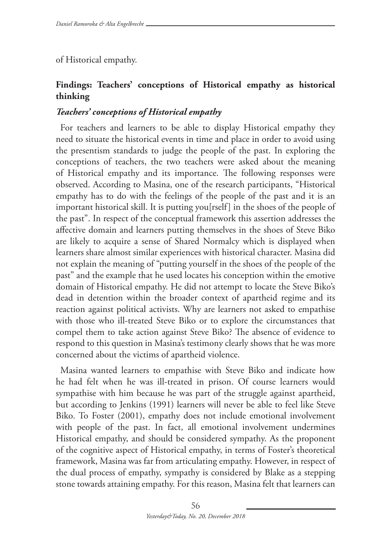of Historical empathy.

### **Findings: Teachers' conceptions of Historical empathy as historical thinking**

### *Teachers' conceptions of Historical empathy*

For teachers and learners to be able to display Historical empathy they need to situate the historical events in time and place in order to avoid using the presentism standards to judge the people of the past. In exploring the conceptions of teachers, the two teachers were asked about the meaning of Historical empathy and its importance. The following responses were observed. According to Masina, one of the research participants, "Historical empathy has to do with the feelings of the people of the past and it is an important historical skill. It is putting you[rself] in the shoes of the people of the past". In respect of the conceptual framework this assertion addresses the affective domain and learners putting themselves in the shoes of Steve Biko are likely to acquire a sense of Shared Normalcy which is displayed when learners share almost similar experiences with historical character. Masina did not explain the meaning of "putting yourself in the shoes of the people of the past" and the example that he used locates his conception within the emotive domain of Historical empathy. He did not attempt to locate the Steve Biko's dead in detention within the broader context of apartheid regime and its reaction against political activists. Why are learners not asked to empathise with those who ill-treated Steve Biko or to explore the circumstances that compel them to take action against Steve Biko? The absence of evidence to respond to this question in Masina's testimony clearly shows that he was more concerned about the victims of apartheid violence.

Masina wanted learners to empathise with Steve Biko and indicate how he had felt when he was ill-treated in prison. Of course learners would sympathise with him because he was part of the struggle against apartheid, but according to Jenkins (1991) learners will never be able to feel like Steve Biko. To Foster (2001), empathy does not include emotional involvement with people of the past. In fact, all emotional involvement undermines Historical empathy, and should be considered sympathy. As the proponent of the cognitive aspect of Historical empathy, in terms of Foster's theoretical framework, Masina was far from articulating empathy. However, in respect of the dual process of empathy, sympathy is considered by Blake as a stepping stone towards attaining empathy. For this reason, Masina felt that learners can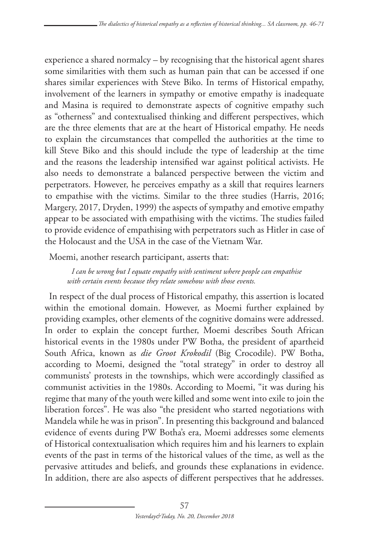experience a shared normalcy – by recognising that the historical agent shares some similarities with them such as human pain that can be accessed if one shares similar experiences with Steve Biko. In terms of Historical empathy, involvement of the learners in sympathy or emotive empathy is inadequate and Masina is required to demonstrate aspects of cognitive empathy such as "otherness" and contextualised thinking and different perspectives, which are the three elements that are at the heart of Historical empathy. He needs to explain the circumstances that compelled the authorities at the time to kill Steve Biko and this should include the type of leadership at the time and the reasons the leadership intensified war against political activists. He also needs to demonstrate a balanced perspective between the victim and perpetrators. However, he perceives empathy as a skill that requires learners to empathise with the victims. Similar to the three studies (Harris, 2016; Margery, 2017, Dryden, 1999) the aspects of sympathy and emotive empathy appear to be associated with empathising with the victims. The studies failed to provide evidence of empathising with perpetrators such as Hitler in case of the Holocaust and the USA in the case of the Vietnam War.

Moemi, another research participant, asserts that:

*I can be wrong but I equate empathy with sentiment where people can empathise with certain events because they relate somehow with those events.* 

In respect of the dual process of Historical empathy, this assertion is located within the emotional domain. However, as Moemi further explained by providing examples, other elements of the cognitive domains were addressed. In order to explain the concept further, Moemi describes South African historical events in the 1980s under PW Botha, the president of apartheid South Africa, known as *die Groot Krokodil* (Big Crocodile). PW Botha, according to Moemi, designed the "total strategy" in order to destroy all communists' protests in the townships, which were accordingly classified as communist activities in the 1980s. According to Moemi, "it was during his regime that many of the youth were killed and some went into exile to join the liberation forces". He was also "the president who started negotiations with Mandela while he was in prison". In presenting this background and balanced evidence of events during PW Botha's era, Moemi addresses some elements of Historical contextualisation which requires him and his learners to explain events of the past in terms of the historical values of the time, as well as the pervasive attitudes and beliefs, and grounds these explanations in evidence. In addition, there are also aspects of different perspectives that he addresses.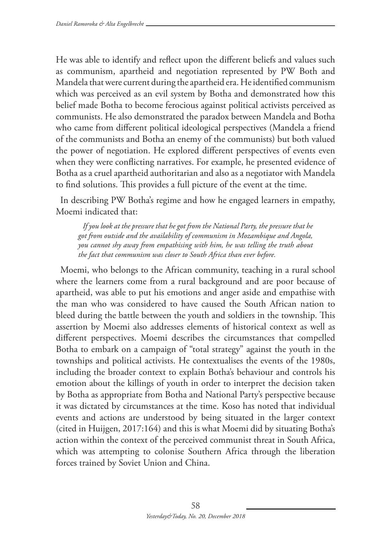He was able to identify and reflect upon the different beliefs and values such as communism, apartheid and negotiation represented by PW Both and Mandela that were current during the apartheid era. He identified communism which was perceived as an evil system by Botha and demonstrated how this belief made Botha to become ferocious against political activists perceived as communists. He also demonstrated the paradox between Mandela and Botha who came from different political ideological perspectives (Mandela a friend of the communists and Botha an enemy of the communists) but both valued the power of negotiation. He explored different perspectives of events even when they were conflicting narratives. For example, he presented evidence of Botha as a cruel apartheid authoritarian and also as a negotiator with Mandela to find solutions. This provides a full picture of the event at the time.

In describing PW Botha's regime and how he engaged learners in empathy, Moemi indicated that:

*If you look at the pressure that he got from the National Party, the pressure that he got from outside and the availability of communism in Mozambique and Angola, you cannot shy away from empathising with him, he was telling the truth about the fact that communism was closer to South Africa than ever before.* 

Moemi, who belongs to the African community, teaching in a rural school where the learners come from a rural background and are poor because of apartheid, was able to put his emotions and anger aside and empathise with the man who was considered to have caused the South African nation to bleed during the battle between the youth and soldiers in the township. This assertion by Moemi also addresses elements of historical context as well as different perspectives. Moemi describes the circumstances that compelled Botha to embark on a campaign of "total strategy" against the youth in the townships and political activists. He contextualises the events of the 1980s, including the broader context to explain Botha's behaviour and controls his emotion about the killings of youth in order to interpret the decision taken by Botha as appropriate from Botha and National Party's perspective because it was dictated by circumstances at the time. Koso has noted that individual events and actions are understood by being situated in the larger context (cited in Huijgen, 2017:164) and this is what Moemi did by situating Botha's action within the context of the perceived communist threat in South Africa, which was attempting to colonise Southern Africa through the liberation forces trained by Soviet Union and China.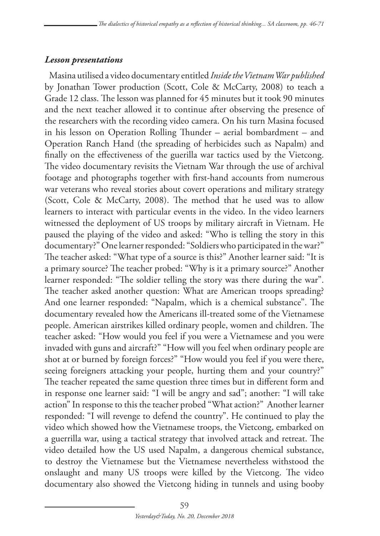#### *Lesson presentations*

Masina utilised a video documentary entitled *Inside the Vietnam War published* by Jonathan Tower production (Scott, Cole & McCarty, 2008) to teach a Grade 12 class. The lesson was planned for 45 minutes but it took 90 minutes and the next teacher allowed it to continue after observing the presence of the researchers with the recording video camera. On his turn Masina focused in his lesson on Operation Rolling Thunder – aerial bombardment – and Operation Ranch Hand (the spreading of herbicides such as Napalm) and finally on the effectiveness of the guerilla war tactics used by the Vietcong. The video documentary revisits the Vietnam War through the use of archival footage and photographs together with first-hand accounts from numerous war veterans who reveal stories about covert operations and military strategy (Scott, Cole & McCarty, 2008). The method that he used was to allow learners to interact with particular events in the video. In the video learners witnessed the deployment of US troops by military aircraft in Vietnam. He paused the playing of the video and asked: "Who is telling the story in this documentary?" One learner responded: "Soldiers who participated in the war?" The teacher asked: "What type of a source is this?" Another learner said: "It is a primary source? The teacher probed: "Why is it a primary source?" Another learner responded: "The soldier telling the story was there during the war". The teacher asked another question: What are American troops spreading? And one learner responded: "Napalm, which is a chemical substance". The documentary revealed how the Americans ill-treated some of the Vietnamese people. American airstrikes killed ordinary people, women and children. The teacher asked: "How would you feel if you were a Vietnamese and you were invaded with guns and aircraft?" "How will you feel when ordinary people are shot at or burned by foreign forces?" "How would you feel if you were there, seeing foreigners attacking your people, hurting them and your country?" The teacher repeated the same question three times but in different form and in response one learner said: "I will be angry and sad"; another: "I will take action" In response to this the teacher probed "What action?" Another learner responded: "I will revenge to defend the country". He continued to play the video which showed how the Vietnamese troops, the Vietcong, embarked on a guerrilla war, using a tactical strategy that involved attack and retreat. The video detailed how the US used Napalm, a dangerous chemical substance, to destroy the Vietnamese but the Vietnamese nevertheless withstood the onslaught and many US troops were killed by the Vietcong. The video documentary also showed the Vietcong hiding in tunnels and using booby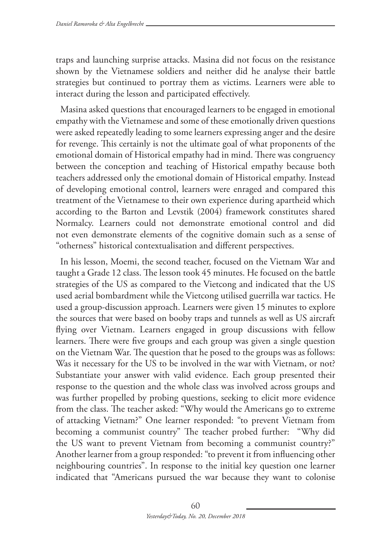traps and launching surprise attacks. Masina did not focus on the resistance shown by the Vietnamese soldiers and neither did he analyse their battle strategies but continued to portray them as victims. Learners were able to interact during the lesson and participated effectively.

Masina asked questions that encouraged learners to be engaged in emotional empathy with the Vietnamese and some of these emotionally driven questions were asked repeatedly leading to some learners expressing anger and the desire for revenge. This certainly is not the ultimate goal of what proponents of the emotional domain of Historical empathy had in mind. There was congruency between the conception and teaching of Historical empathy because both teachers addressed only the emotional domain of Historical empathy. Instead of developing emotional control, learners were enraged and compared this treatment of the Vietnamese to their own experience during apartheid which according to the Barton and Levstik (2004) framework constitutes shared Normalcy. Learners could not demonstrate emotional control and did not even demonstrate elements of the cognitive domain such as a sense of "otherness" historical contextualisation and different perspectives.

In his lesson, Moemi, the second teacher, focused on the Vietnam War and taught a Grade 12 class. The lesson took 45 minutes. He focused on the battle strategies of the US as compared to the Vietcong and indicated that the US used aerial bombardment while the Vietcong utilised guerrilla war tactics. He used a group-discussion approach. Learners were given 15 minutes to explore the sources that were based on booby traps and tunnels as well as US aircraft flying over Vietnam. Learners engaged in group discussions with fellow learners. There were five groups and each group was given a single question on the Vietnam War. The question that he posed to the groups was as follows: Was it necessary for the US to be involved in the war with Vietnam, or not? Substantiate your answer with valid evidence. Each group presented their response to the question and the whole class was involved across groups and was further propelled by probing questions, seeking to elicit more evidence from the class. The teacher asked: "Why would the Americans go to extreme of attacking Vietnam?" One learner responded: "to prevent Vietnam from becoming a communist country" The teacher probed further: "Why did the US want to prevent Vietnam from becoming a communist country?" Another learner from a group responded: "to prevent it from influencing other neighbouring countries". In response to the initial key question one learner indicated that "Americans pursued the war because they want to colonise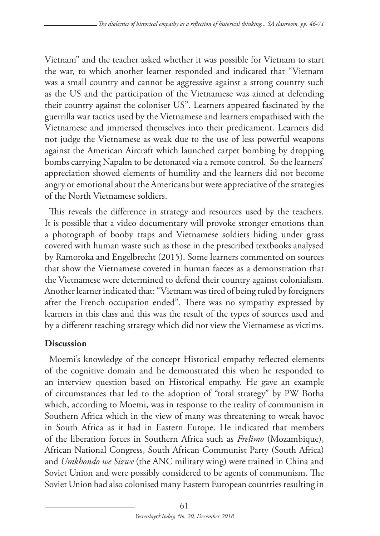Vietnam" and the teacher asked whether it was possible for Vietnam to start the war, to which another learner responded and indicated that "Vietnam was a small country and cannot be aggressive against a strong country such as the US and the participation of the Vietnamese was aimed at defending their country against the coloniser US". Learners appeared fascinated by the guerrilla war tactics used by the Vietnamese and learners empathised with the Vietnamese and immersed themselves into their predicament. Learners did not judge the Vietnamese as weak due to the use of less powerful weapons against the American Aircraft which launched carpet bombing by dropping bombs carrying Napalm to be detonated via a remote control. So the learners' appreciation showed elements of humility and the learners did not become angry or emotional about the Americans but were appreciative of the strategies of the North Vietnamese soldiers.

This reveals the difference in strategy and resources used by the teachers. It is possible that a video documentary will provoke stronger emotions than a photograph of booby traps and Vietnamese soldiers hiding under grass covered with human waste such as those in the prescribed textbooks analysed by Ramoroka and Engelbrecht (2015). Some learners commented on sources that show the Vietnamese covered in human faeces as a demonstration that the Vietnamese were determined to defend their country against colonialism. Another learner indicated that: "Vietnam was tired of being ruled by foreigners after the French occupation ended". There was no sympathy expressed by learners in this class and this was the result of the types of sources used and by a different teaching strategy which did not view the Vietnamese as victims.

### **Discussion**

Moemi's knowledge of the concept Historical empathy reflected elements of the cognitive domain and he demonstrated this when he responded to an interview question based on Historical empathy. He gave an example of circumstances that led to the adoption of "total strategy" by PW Botha which, according to Moemi, was in response to the reality of communism in Southern Africa which in the view of many was threatening to wreak havoc in South Africa as it had in Eastern Europe. He indicated that members of the liberation forces in Southern Africa such as *Frelimo* (Mozambique), African National Congress, South African Communist Party (South Africa) and *Umkhondo we Sizwe* (the ANC military wing) were trained in China and Soviet Union and were possibly considered to be agents of communism. The Soviet Union had also colonised many Eastern European countries resulting in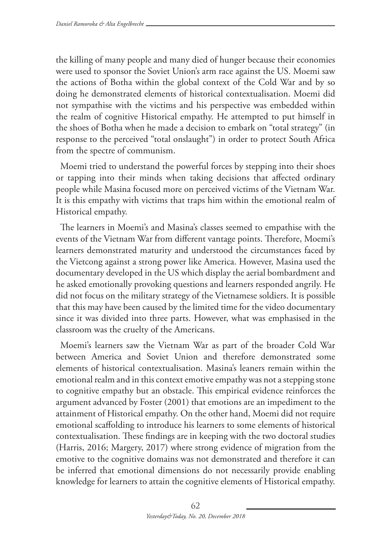the killing of many people and many died of hunger because their economies were used to sponsor the Soviet Union's arm race against the US. Moemi saw the actions of Botha within the global context of the Cold War and by so doing he demonstrated elements of historical contextualisation. Moemi did not sympathise with the victims and his perspective was embedded within the realm of cognitive Historical empathy. He attempted to put himself in the shoes of Botha when he made a decision to embark on "total strategy" (in response to the perceived "total onslaught") in order to protect South Africa from the spectre of communism.

Moemi tried to understand the powerful forces by stepping into their shoes or tapping into their minds when taking decisions that affected ordinary people while Masina focused more on perceived victims of the Vietnam War. It is this empathy with victims that traps him within the emotional realm of Historical empathy.

The learners in Moemi's and Masina's classes seemed to empathise with the events of the Vietnam War from different vantage points. Therefore, Moemi's learners demonstrated maturity and understood the circumstances faced by the Vietcong against a strong power like America. However, Masina used the documentary developed in the US which display the aerial bombardment and he asked emotionally provoking questions and learners responded angrily. He did not focus on the military strategy of the Vietnamese soldiers. It is possible that this may have been caused by the limited time for the video documentary since it was divided into three parts. However, what was emphasised in the classroom was the cruelty of the Americans.

Moemi's learners saw the Vietnam War as part of the broader Cold War between America and Soviet Union and therefore demonstrated some elements of historical contextualisation. Masina's leaners remain within the emotional realm and in this context emotive empathy was not a stepping stone to cognitive empathy but an obstacle. This empirical evidence reinforces the argument advanced by Foster (2001) that emotions are an impediment to the attainment of Historical empathy. On the other hand, Moemi did not require emotional scaffolding to introduce his learners to some elements of historical contextualisation. These findings are in keeping with the two doctoral studies (Harris, 2016; Margery, 2017) where strong evidence of migration from the emotive to the cognitive domains was not demonstrated and therefore it can be inferred that emotional dimensions do not necessarily provide enabling knowledge for learners to attain the cognitive elements of Historical empathy.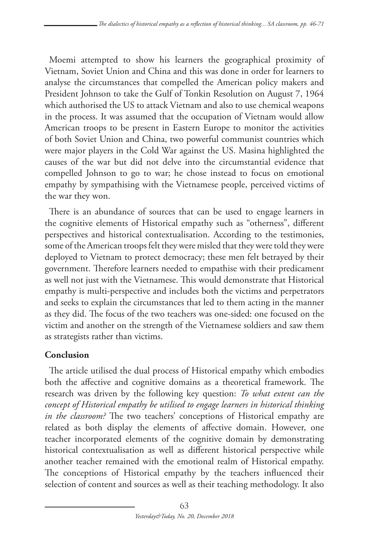Moemi attempted to show his learners the geographical proximity of Vietnam, Soviet Union and China and this was done in order for learners to analyse the circumstances that compelled the American policy makers and President Johnson to take the Gulf of Tonkin Resolution on August 7, 1964 which authorised the US to attack Vietnam and also to use chemical weapons in the process. It was assumed that the occupation of Vietnam would allow American troops to be present in Eastern Europe to monitor the activities of both Soviet Union and China, two powerful communist countries which were major players in the Cold War against the US. Masina highlighted the causes of the war but did not delve into the circumstantial evidence that compelled Johnson to go to war; he chose instead to focus on emotional empathy by sympathising with the Vietnamese people, perceived victims of the war they won.

There is an abundance of sources that can be used to engage learners in the cognitive elements of Historical empathy such as "otherness", different perspectives and historical contextualisation. According to the testimonies, some of the American troops felt they were misled that they were told they were deployed to Vietnam to protect democracy; these men felt betrayed by their government. Therefore learners needed to empathise with their predicament as well not just with the Vietnamese. This would demonstrate that Historical empathy is multi-perspective and includes both the victims and perpetrators and seeks to explain the circumstances that led to them acting in the manner as they did. The focus of the two teachers was one-sided: one focused on the victim and another on the strength of the Vietnamese soldiers and saw them as strategists rather than victims.

## **Conclusion**

The article utilised the dual process of Historical empathy which embodies both the affective and cognitive domains as a theoretical framework. The research was driven by the following key question: *To what extent can the concept of Historical empathy be utilised to engage learners in historical thinking in the classroom?* The two teachers' conceptions of Historical empathy are related as both display the elements of affective domain. However, one teacher incorporated elements of the cognitive domain by demonstrating historical contextualisation as well as different historical perspective while another teacher remained with the emotional realm of Historical empathy. The conceptions of Historical empathy by the teachers influenced their selection of content and sources as well as their teaching methodology. It also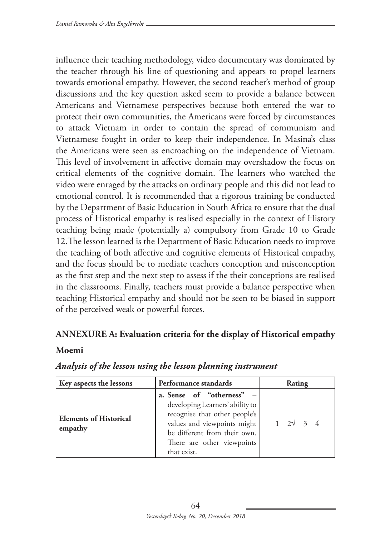influence their teaching methodology, video documentary was dominated by the teacher through his line of questioning and appears to propel learners towards emotional empathy. However, the second teacher's method of group discussions and the key question asked seem to provide a balance between Americans and Vietnamese perspectives because both entered the war to protect their own communities, the Americans were forced by circumstances to attack Vietnam in order to contain the spread of communism and Vietnamese fought in order to keep their independence. In Masina's class the Americans were seen as encroaching on the independence of Vietnam. This level of involvement in affective domain may overshadow the focus on critical elements of the cognitive domain. The learners who watched the video were enraged by the attacks on ordinary people and this did not lead to emotional control. It is recommended that a rigorous training be conducted by the Department of Basic Education in South Africa to ensure that the dual process of Historical empathy is realised especially in the context of History teaching being made (potentially a) compulsory from Grade 10 to Grade 12.The lesson learned is the Department of Basic Education needs to improve the teaching of both affective and cognitive elements of Historical empathy, and the focus should be to mediate teachers conception and misconception as the first step and the next step to assess if the their conceptions are realised in the classrooms. Finally, teachers must provide a balance perspective when teaching Historical empathy and should not be seen to be biased in support of the perceived weak or powerful forces.

### **ANNEXURE A: Evaluation criteria for the display of Historical empathy**

#### **Moemi**

| Key aspects the lessons                  | Performance standards                                                                                                                                                                                     | Rating                      |
|------------------------------------------|-----------------------------------------------------------------------------------------------------------------------------------------------------------------------------------------------------------|-----------------------------|
| <b>Elements of Historical</b><br>empathy | a. Sense of "otherness" -<br>developing Learners' ability to<br>recognise that other people's<br>values and viewpoints might<br>be different from their own.<br>There are other viewpoints<br>that exist. | $1 \quad 2\sqrt{3} \quad 4$ |

#### *Analysis of the lesson using the lesson planning instrument*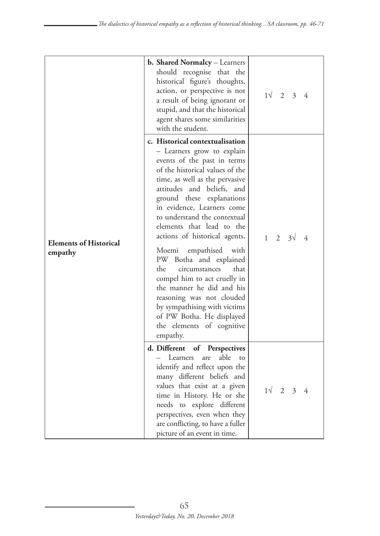| <b>Elements of Historical</b><br>empathy | b. Shared Normalcy - Learners<br>should recognise that the<br>historical figure's thoughts,<br>action, or perspective is not<br>a result of being ignorant or<br>stupid, and that the historical<br>agent shares some similarities<br>with the student.                                                                                                                                                                                                                                                                                                                                                                                        | $1\sqrt{2}$ 3 4 |
|------------------------------------------|------------------------------------------------------------------------------------------------------------------------------------------------------------------------------------------------------------------------------------------------------------------------------------------------------------------------------------------------------------------------------------------------------------------------------------------------------------------------------------------------------------------------------------------------------------------------------------------------------------------------------------------------|-----------------|
|                                          | c. Historical contextualisation<br>- Learners grow to explain<br>events of the past in terms<br>of the historical values of the<br>time, as well as the pervasive<br>attitudes and beliefs, and<br>ground these explanations<br>in evidence, Learners come<br>to understand the contextual<br>elements that lead to the<br>actions of historical agents.<br>Moemi empathised with<br>PW<br>Botha and explained<br>the<br>that<br>circumstances<br>compel him to act cruelly in<br>the manner he did and his<br>reasoning was not clouded<br>by sympathising with victims<br>of PW Botha. He displayed<br>the elements of cognitive<br>empathy. | $1 \t2 \t3 \t4$ |
|                                          | d. Different of Perspectives<br>Learners<br>able<br>are<br>to<br>identify and reflect upon the<br>many different beliefs and<br>values that exist at a given<br>time in History. He or she<br>needs to explore different<br>perspectives, even when they<br>are conflicting, to have a fuller<br>picture of an event in time.                                                                                                                                                                                                                                                                                                                  | $1\sqrt{2}$ 3 4 |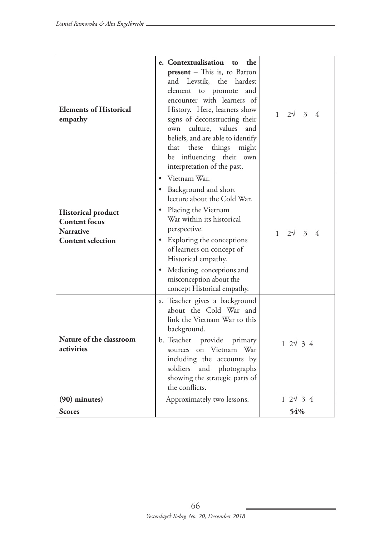| <b>Elements of Historical</b><br>empathy                                                          | e. Contextualisation to the<br>present - This is, to Barton<br>and Levstik, the hardest<br>element to promote<br>and<br>encounter with learners of<br>History. Here, learners show<br>signs of deconstructing their<br>own culture, values and<br>beliefs, and are able to identify<br>that these things might<br>be influencing their own<br>interpretation of the past. | $1 \quad 2\sqrt{3} \quad 4$ |
|---------------------------------------------------------------------------------------------------|---------------------------------------------------------------------------------------------------------------------------------------------------------------------------------------------------------------------------------------------------------------------------------------------------------------------------------------------------------------------------|-----------------------------|
| <b>Historical product</b><br><b>Content focus</b><br><b>Narrative</b><br><b>Content selection</b> | • Vietnam War.<br>• Background and short<br>lecture about the Cold War.<br>• Placing the Vietnam<br>War within its historical<br>perspective.<br>• Exploring the conceptions<br>of learners on concept of<br>Historical empathy.<br>• Mediating conceptions and<br>misconception about the<br>concept Historical empathy.                                                 | $1 \quad 2\sqrt{3} \quad 4$ |
| Nature of the classroom<br>activities                                                             | a. Teacher gives a background<br>about the Cold War and<br>link the Vietnam War to this<br>background.<br>b. Teacher provide primary<br>sources on Vietnam War<br>including the accounts by<br>soldiers and photographs<br>showing the strategic parts of<br>the conflicts.                                                                                               | $1 \, 2\sqrt{3} \, 4$       |
| $(90)$ minutes)                                                                                   | Approximately two lessons.                                                                                                                                                                                                                                                                                                                                                | $1 \, 2\sqrt{3} \, 4$       |
| <b>Scores</b>                                                                                     |                                                                                                                                                                                                                                                                                                                                                                           | 54%                         |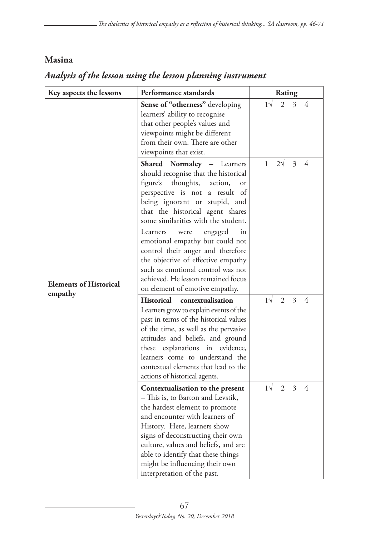### **Masina**

| Key aspects the lessons                  | Performance standards                                                                                                                                                                                                                                                                                                                                                                                                                                                                                                         | Rating                                  |
|------------------------------------------|-------------------------------------------------------------------------------------------------------------------------------------------------------------------------------------------------------------------------------------------------------------------------------------------------------------------------------------------------------------------------------------------------------------------------------------------------------------------------------------------------------------------------------|-----------------------------------------|
| <b>Elements of Historical</b><br>empathy | Sense of "otherness" developing<br>learners' ability to recognise<br>that other people's values and<br>viewpoints might be different<br>from their own. There are other<br>viewpoints that exist.                                                                                                                                                                                                                                                                                                                             | $1\sqrt{ }$<br>3<br>2<br>4              |
|                                          | Shared Normalcy - Learners<br>should recognise that the historical<br>figure's<br>thoughts,<br>action,<br>or<br>perspective is not<br>a result of<br>being ignorant or stupid, and<br>that the historical agent shares<br>some similarities with the student.<br>engaged<br>Learners<br>were<br>in<br>emotional empathy but could not<br>control their anger and therefore<br>the objective of effective empathy<br>such as emotional control was not<br>achieved. He lesson remained focus<br>on element of emotive empathy. | $\mathbf{1}$<br>$2\sqrt{ }$<br>4<br>3   |
|                                          | <b>Historical</b><br>contextualisation<br>Learners grow to explain events of the<br>past in terms of the historical values<br>of the time, as well as the pervasive<br>attitudes and beliefs, and ground<br>these explanations in evidence,<br>learners come to understand the<br>contextual elements that lead to the<br>actions of historical agents.                                                                                                                                                                       | $1\sqrt{ }$<br>2<br>3<br>4              |
|                                          | Contextualisation to the present<br>– This is, to Barton and Levstik,<br>the hardest element to promote<br>and encounter with learners of<br>History. Here, learners show<br>signs of deconstructing their own<br>culture, values and beliefs, and are<br>able to identify that these things<br>might be influencing their own<br>interpretation of the past.                                                                                                                                                                 | $1\sqrt{ }$<br>$\overline{2}$<br>3<br>4 |

# *Analysis of the lesson using the lesson planning instrument*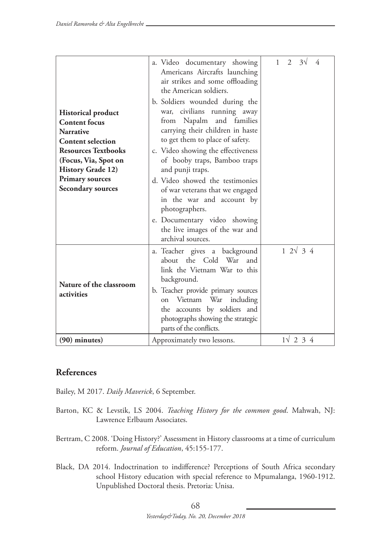|                                       | a. Video documentary showing<br>Americans Aircrafts launching<br>air strikes and some offloading<br>the American soldiers.                                                                                                                                                        | $2^{\circ}$<br>1<br>$3\sqrt{ }$<br>4 |
|---------------------------------------|-----------------------------------------------------------------------------------------------------------------------------------------------------------------------------------------------------------------------------------------------------------------------------------|--------------------------------------|
|                                       | b. Soldiers wounded during the                                                                                                                                                                                                                                                    |                                      |
| <b>Historical product</b>             | war, civilians running away                                                                                                                                                                                                                                                       |                                      |
| <b>Content</b> focus                  | from Napalm and families                                                                                                                                                                                                                                                          |                                      |
| <b>Narrative</b>                      | carrying their children in haste                                                                                                                                                                                                                                                  |                                      |
| <b>Content selection</b>              | to get them to place of safety.                                                                                                                                                                                                                                                   |                                      |
| <b>Resources Textbooks</b>            | c. Video showing the effectiveness                                                                                                                                                                                                                                                |                                      |
| (Focus, Via, Spot on                  | of booby traps, Bamboo traps                                                                                                                                                                                                                                                      |                                      |
| <b>History Grade 12)</b>              | and punji traps.                                                                                                                                                                                                                                                                  |                                      |
| <b>Primary sources</b>                | d. Video showed the testimonies                                                                                                                                                                                                                                                   |                                      |
| <b>Secondary sources</b>              | of war veterans that we engaged<br>in the war and account by<br>photographers.<br>e. Documentary video showing<br>the live images of the war and<br>archival sources.                                                                                                             |                                      |
| Nature of the classroom<br>activities | a. Teacher gives a background<br>about the Cold War<br>and<br>link the Vietnam War to this<br>background.<br>b. Teacher provide primary sources<br>Vietnam War<br>including<br>on<br>the accounts by soldiers and<br>photographs showing the strategic<br>parts of the conflicts. | $1 \, 2\sqrt{3} \, 4$                |
| $(90)$ minutes)                       | Approximately two lessons.                                                                                                                                                                                                                                                        | $1\sqrt{2}34$                        |

## **References**

Bailey, M 2017. *Daily Maverick*, 6 September.

- Barton, KC & Levstik, LS 2004. *Teaching History for the common good*. Mahwah, NJ: Lawrence Erlbaum Associates.
- Bertram, C 2008. 'Doing History?' Assessment in History classrooms at a time of curriculum reform. *Journal of Education*, 45:155-177.
- Black, DA 2014. Indoctrination to indifference? Perceptions of South Africa secondary school History education with special reference to Mpumalanga, 1960-1912. Unpublished Doctoral thesis. Pretoria: Unisa.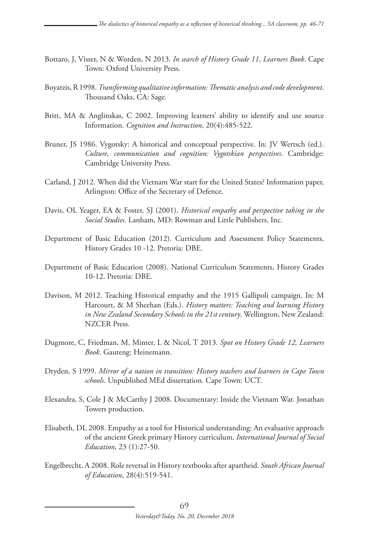- Bottaro, J, Visser, N & Worden, N 2013. *In search of History Grade 11, Learners Book*. Cape Town: Oxford University Press.
- Boyatzis, R 1998. *Transforming qualitative information: Thematic analysis and code development*. Thousand Oaks, CA: Sage.
- Britt, MA & Anglinskas, C 2002. Improving learners' ability to identify and use source Information. *Cognition and Instruction*, 20(4):485-522.
- Bruner, JS 1986. Vygotsky: A historical and conceptual perspective. In: JV Wertsch (ed.). *Culture, communication and cognition: Vygotskian perspectives*. Cambridge: Cambridge University Press.
- Carland, J 2012. When did the Vietnam War start for the United States? Information paper, Arlington: Office of the Secretary of Defence.
- Davis, OL Yeager, EA & Foster, SJ (2001). *Historical empathy and perspective taking in the Social Studies*. Lanham, MD: Rowman and Little Publishers, Inc.
- Department of Basic Education (2012). Curriculum and Assessment Policy Statements, History Grades 10 -12. Pretoria: DBE.
- Department of Basic Education (2008). National Curriculum Statements, History Grades 10-12. Pretoria: DBE.
- Davison, M 2012. Teaching Historical empathy and the 1915 Gallipoli campaign. In: M Harcourt, & M Sheehan (Eds.). *History matters: Teaching and learning History in New Zealand Secondary Schools in the 21st century*. Wellington, New Zealand: NZCER Press.
- Dugmore, C, Friedman, M, Minter, L & Nicol, T 2013. *Spot on History Grade 12, Learners Book*. Gauteng: Heinemann.
- Dryden, S 1999. *Mirror of a nation in transition: History teachers and learners in Cape Town schools*. Unpublished MEd dissertation. Cape Town: UCT.
- Elexandra, S, Cole J & McCarthy J 2008. Documentary: Inside the Vietnam War. Jonathan Towers production.
- Elisabeth, DL 2008. Empathy as a tool for Historical understanding: An evaluative approach of the ancient Greek primary History curriculum. *International Journal of Social Education*, 23 (1):27-50.
- Engelbrecht, A 2008. Role reversal in History textbooks after apartheid. *South African Journal of Education*, 28(4):519-541.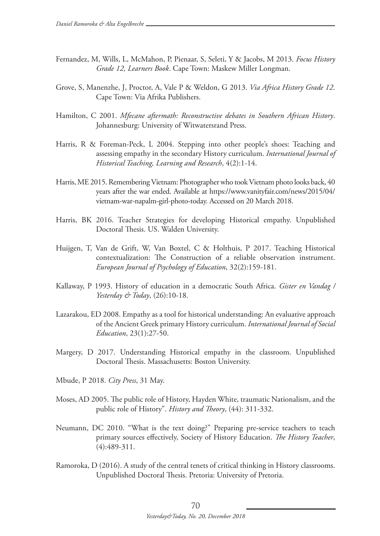- Fernandez, M, Wills, L, McMahon, P, Pienaar, S, Seleti, Y & Jacobs, M 2013. *Focus History Grade 12, Learners Book*. Cape Town: Maskew Miller Longman.
- Grove, S, Manenzhe, J, Proctor, A, Vale P & Weldon, G 2013. *Via Africa History Grade 12*. Cape Town: Via Afrika Publishers.
- Hamilton, C 2001. *Mfecane aftermath: Reconstructive debates in Southern African History*. Johannesburg: University of Witwatersrand Press.
- Harris, R & Foreman-Peck, L 2004. Stepping into other people's shoes: Teaching and assessing empathy in the secondary History curriculum. *International Journal of Historical Teaching, Learning and Research*, 4(2):1-14.
- Harris, ME 2015. Remembering Vietnam: Photographer who took Vietnam photo looks back, 40 years after the war ended. Available at https://www.vanityfair.com/news/2015/04/ vietnam-war-napalm-girl-photo-today. Accessed on 20 March 2018.
- Harris, BK 2016. Teacher Strategies for developing Historical empathy. Unpublished Doctoral Thesis. US. Walden University.
- Huijgen, T, Van de Grift, W, Van Boxtel, C & Holthuis, P 2017. Teaching Historical contextualization: The Construction of a reliable observation instrument. *European Journal of Psychology of Education*, 32(2):159-181.
- Kallaway, P 1993. History of education in a democratic South Africa. *Gister en Vandag / Yesterday & Today*, (26):10-18.
- Lazarakou, ED 2008. Empathy as a tool for historical understanding: An evaluative approach of the Ancient Greek primary History curriculum. *International Journal of Social Education*, 23(1):27-50.
- Margery, D 2017. Understanding Historical empathy in the classroom. Unpublished Doctoral Thesis. Massachusetts: Boston University.
- Mbude, P 2018. *City Press*, 31 May.
- Moses, AD 2005. The public role of History, Hayden White, traumatic Nationalism, and the public role of History". *History and Theory*, (44): 311-332.
- Neumann, DC 2010. "What is the text doing?" Preparing pre-service teachers to teach primary sources effectively, Society of History Education. *The History Teacher*, (4):489-311.
- Ramoroka, D (2016). A study of the central tenets of critical thinking in History classrooms. Unpublished Doctoral Thesis. Pretoria: University of Pretoria.